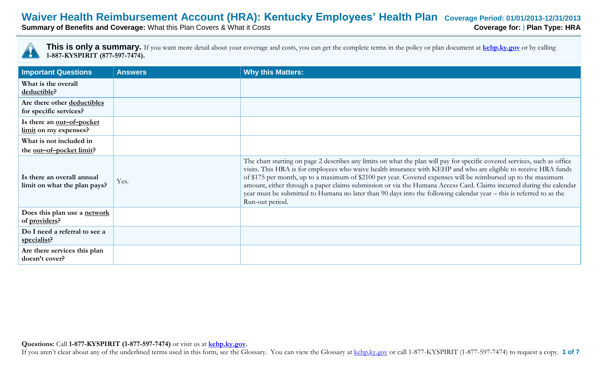# **Waiver Health Reimbursement Account (HRA): Kentucky Employees' Health Plan** Coverage Period: 01/01/2013-12/31/2013<br>Summary of Benefits and Coverage: What this Plan Covers & What it Costs

**Summary of Benefits and Coverage: What this Plan Covers & What it Costs** 



| <b>Important Questions</b>                                  | <b>Answers</b> | <b>Why this Matters:</b>                                                                                                                                                                                                                                                                                                                                                                                                                                                                                                                                                                                                         |
|-------------------------------------------------------------|----------------|----------------------------------------------------------------------------------------------------------------------------------------------------------------------------------------------------------------------------------------------------------------------------------------------------------------------------------------------------------------------------------------------------------------------------------------------------------------------------------------------------------------------------------------------------------------------------------------------------------------------------------|
| What is the overall<br>deductible?                          |                |                                                                                                                                                                                                                                                                                                                                                                                                                                                                                                                                                                                                                                  |
| Are there other deductibles<br>for specific services?       |                |                                                                                                                                                                                                                                                                                                                                                                                                                                                                                                                                                                                                                                  |
| Is there an <u>out-of-pocket</u><br>limit on my expenses?   |                |                                                                                                                                                                                                                                                                                                                                                                                                                                                                                                                                                                                                                                  |
| What is not included in<br>the <u>out-of-pocket limit</u> ? |                |                                                                                                                                                                                                                                                                                                                                                                                                                                                                                                                                                                                                                                  |
| Is there an overall annual<br>limit on what the plan pays?  | Yes.           | The chart starting on page 2 describes any limits on what the plan will pay for specific covered services, such as office<br>visits. This HRA is for employees who waive health insurance with KEHP and who are eligible to receive HRA funds<br>of \$175 per month, up to a maximum of \$2100 per year. Covered expenses will be reimbursed up to the maximum<br>amount, either through a paper claims submission or via the Humana Access Card. Claims incurred during the calendar<br>year must be submitted to Humana no later than 90 days into the following calendar year – this is referred to as the<br>Run-out period. |
| Does this plan use a network<br>of providers?               |                |                                                                                                                                                                                                                                                                                                                                                                                                                                                                                                                                                                                                                                  |
| Do I need a referral to see a<br>specialist?                |                |                                                                                                                                                                                                                                                                                                                                                                                                                                                                                                                                                                                                                                  |
| Are there services this plan<br>doesn't cover?              |                |                                                                                                                                                                                                                                                                                                                                                                                                                                                                                                                                                                                                                                  |

If you aren't clear about any of the underlined terms used in this form, see the Glossary. You can view the Glossary at kehp.ky.gov or call 1-877-KYSPIRIT (1-877-597-7474) to request a copy. 1 of 7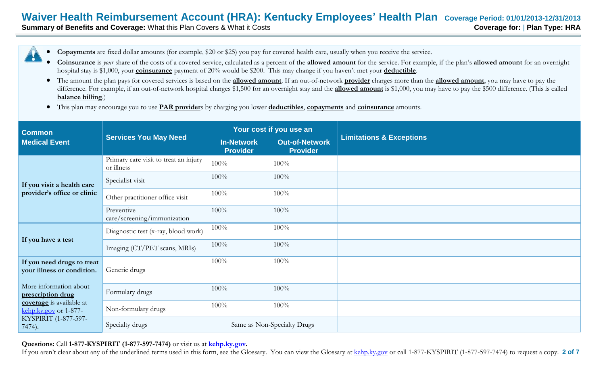# **Waiver Health Reimbursement Account (HRA): Kentucky Employees' Health Plan Coverage Period: 01/01/2013-12/31/2013**

**Summary of Benefits and Coverage:** What this Plan Covers & What it Costs **Coverage for: | Plan Type: HRA** 

- **Copayments** are fixed dollar amounts (for example, \$20 or \$25) you pay for covered health care, usually when you receive the service.
- **Coinsurance** is *your* share of the costs of a covered service, calculated as a percent of the **allowed amount** for the service. For example, if the plan's **allowed amount** for an overnight hospital stay is \$1,000, your **coinsurance** payment of 20% would be \$200. This may change if you haven't met your **deductible**.
- The amount the plan pays for covered services is based on the **allowed amount**. If an out-of-network **provider** charges more than the **allowed amount**, you may have to pay the difference. For example, if an out-of-network hospital charges \$1,500 for an overnight stay and the **allowed amount** is \$1,000, you may have to pay the \$500 difference. (This is called **balance billing**.)
- This plan may encourage you to use **PAR provider**s by charging you lower **deductibles**, **copayments** and **coinsurance** amounts.

| <b>Common</b>                                                                                    | <b>Services You May Need</b>                        | Your cost if you use an       |                                   |                                     |
|--------------------------------------------------------------------------------------------------|-----------------------------------------------------|-------------------------------|-----------------------------------|-------------------------------------|
| <b>Medical Event</b>                                                                             |                                                     | In-Network<br><b>Provider</b> | Out-of-Network<br><b>Provider</b> | <b>Limitations &amp; Exceptions</b> |
| If you visit a health care<br>provider's office or clinic                                        | Primary care visit to treat an injury<br>or illness | 100%                          | 100%                              |                                     |
|                                                                                                  | Specialist visit                                    | 100%                          | 100%                              |                                     |
|                                                                                                  | Other practitioner office visit                     | 100%                          | 100%                              |                                     |
|                                                                                                  | Preventive<br>care/screening/immunization           | 100%                          | 100%                              |                                     |
| If you have a test                                                                               | Diagnostic test (x-ray, blood work)                 | 100%                          | 100%                              |                                     |
|                                                                                                  | Imaging (CT/PET scans, MRIs)                        | 100%                          | 100%                              |                                     |
| If you need drugs to treat<br>your illness or condition.                                         | Generic drugs                                       | 100%                          | 100%                              |                                     |
| More information about<br>prescription drug                                                      | Formulary drugs                                     | 100%                          | 100%                              |                                     |
| coverage is available at<br>$\frac{\text{kehp.ky.gov}}{1-877}$<br>KYSPIRIT (1-877-597-<br>7474). | Non-formulary drugs                                 | 100%                          | 100%                              |                                     |
|                                                                                                  | Specialty drugs                                     | Same as Non-Specialty Drugs   |                                   |                                     |

#### **Questions:** Call **1-877-KYSPIRIT (1-877-597-7474)** or visit us at **kehp.ky.gov.**

If you aren't clear about any of the underlined terms used in this form, see the Glossary. You can view the Glossary at kehp.ky.gov or call 1-877-KYSPIRIT (1-877-597-7474) to request a copy. 2 of 7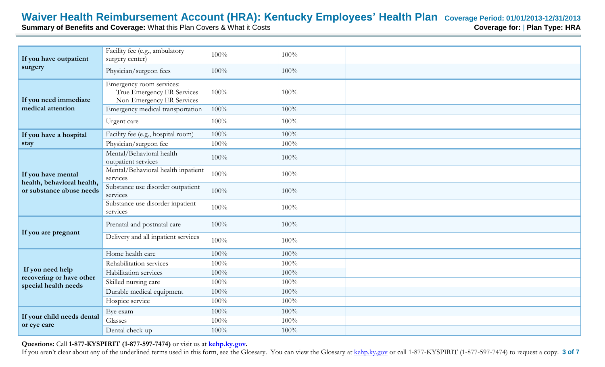# **Waiver Health Reimbursement Account (HRA): Kentucky Employees' Health Plan** Coverage Period: 01/01/2013-12/31/2013<br>Summary of Benefits and Coverage: What this Plan Covers & What it Costs<br>RA Coverage for: | Plan Type: HRA

**Summary of Benefits and Coverage: What this Plan Covers & What it Costs** 

| If you have outpatient<br>surgery                                            | Facility fee (e.g., ambulatory<br>surgery center)                                   | 100%    | 100% |  |
|------------------------------------------------------------------------------|-------------------------------------------------------------------------------------|---------|------|--|
|                                                                              | Physician/surgeon fees                                                              | 100%    | 100% |  |
| If you need immediate<br>medical attention                                   | Emergency room services:<br>True Emergency ER Services<br>Non-Emergency ER Services | 100%    | 100% |  |
|                                                                              | Emergency medical transportation                                                    | 100%    | 100% |  |
|                                                                              | Urgent care                                                                         | 100%    | 100% |  |
| If you have a hospital                                                       | Facility fee (e.g., hospital room)                                                  | 100%    | 100% |  |
| stay                                                                         | Physician/surgeon fee                                                               | 100%    | 100% |  |
| If you have mental<br>health, behavioral health,<br>or substance abuse needs | Mental/Behavioral health<br>outpatient services                                     | 100%    | 100% |  |
|                                                                              | Mental/Behavioral health inpatient<br>services                                      | 100%    | 100% |  |
|                                                                              | Substance use disorder outpatient<br>services                                       | $100\%$ | 100% |  |
|                                                                              | Substance use disorder inpatient<br>services                                        | 100%    | 100% |  |
| If you are pregnant                                                          | Prenatal and postnatal care                                                         | 100%    | 100% |  |
|                                                                              | Delivery and all inpatient services                                                 | 100%    | 100% |  |
|                                                                              | Home health care                                                                    | 100%    | 100% |  |
|                                                                              | Rehabilitation services                                                             | 100%    | 100% |  |
| If you need help<br>recovering or have other<br>special health needs         | Habilitation services                                                               | 100%    | 100% |  |
|                                                                              | Skilled nursing care                                                                | 100%    | 100% |  |
|                                                                              | Durable medical equipment                                                           | 100%    | 100% |  |
|                                                                              | Hospice service                                                                     | 100%    | 100% |  |
|                                                                              | Eye exam                                                                            | 100%    | 100% |  |
| If your child needs dental<br>or eye care                                    | Glasses                                                                             | 100%    | 100% |  |
|                                                                              | Dental check-up                                                                     | 100%    | 100% |  |

### **Questions:** Call **1-877-KYSPIRIT (1-877-597-7474)** or visit us at **kehp.ky.gov.**

If you aren't clear about any of the underlined terms used in this form, see the Glossary. You can view the Glossary at kehp.ky.gov or call 1-877-KYSPIRIT (1-877-597-7474) to request a copy. 3 of 7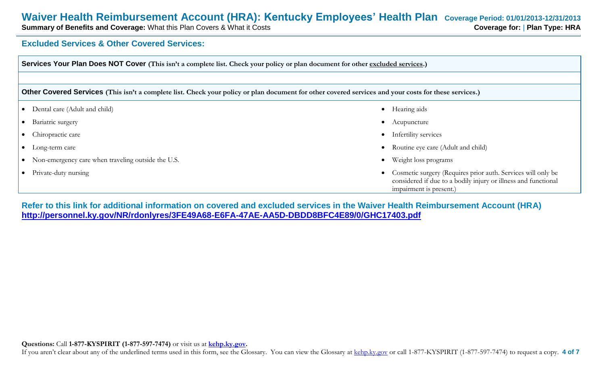# **Waiver Health Reimbursement Account (HRA): Kentucky Employees' Health Plan** Coverage Period: 01/01/2013-12/31/2013<br>Summary of Benefits and Coverage: What this Plan Covers & What it Costs

**Summary of Benefits and Coverage: What this Plan Covers & What it Costs** 

## **Excluded Services & Other Covered Services:**

| Services Your Plan Does NOT Cover (This isn't a complete list. Check your policy or plan document for other excluded services.)                       |  |                                                                                                                                                           |  |
|-------------------------------------------------------------------------------------------------------------------------------------------------------|--|-----------------------------------------------------------------------------------------------------------------------------------------------------------|--|
|                                                                                                                                                       |  |                                                                                                                                                           |  |
| Other Covered Services (This isn't a complete list. Check your policy or plan document for other covered services and your costs for these services.) |  |                                                                                                                                                           |  |
| Dental care (Adult and child)<br>$\bullet$                                                                                                            |  | Hearing aids                                                                                                                                              |  |
| Bariatric surgery                                                                                                                                     |  | Acupuncture                                                                                                                                               |  |
| Chiropractic care                                                                                                                                     |  | Infertility services                                                                                                                                      |  |
| Long-term care                                                                                                                                        |  | Routine eye care (Adult and child)                                                                                                                        |  |
| Non-emergency care when traveling outside the U.S.<br>$\bullet$                                                                                       |  | Weight loss programs                                                                                                                                      |  |
| Private-duty nursing                                                                                                                                  |  | Cosmetic surgery (Requires prior auth. Services will only be<br>considered if due to a bodily injury or illness and functional<br>impairment is present.) |  |

**Refer to this link for additional information on covered and excluded services in the Waiver Health Reimbursement Account (HRA) <http://personnel.ky.gov/NR/rdonlyres/3FE49A68-E6FA-47AE-AA5D-DBDD8BFC4E89/0/GHC17403.pdf>**

If you aren't clear about any of the underlined terms used in this form, see the Glossary. You can view the Glossary at kehp.ky.gov or call 1-877-KYSPIRIT (1-877-597-7474) to request a copy. 4 of 7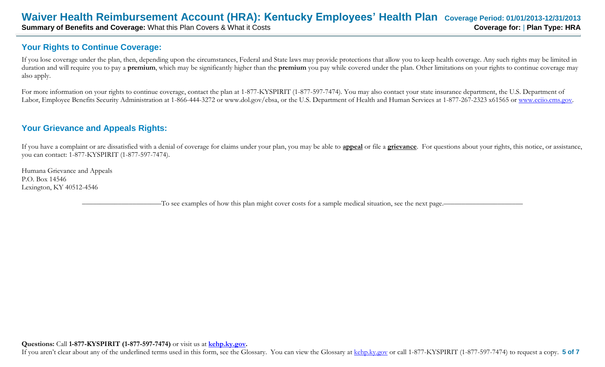# **Your Rights to Continue Coverage:**

If you lose coverage under the plan, then, depending upon the circumstances, Federal and State laws may provide protections that allow you to keep health coverage. Any such rights may be limited in duration and will require you to pay a **premium**, which may be significantly higher than the **premium** you pay while covered under the plan. Other limitations on your rights to continue coverage may also apply.

For more information on your rights to continue coverage, contact the plan at 1-877-KYSPIRIT (1-877-597-7474). You may also contact your state insurance department, the U.S. Department of Labor, Employee Benefits Security Administration at 1-866-444-3272 or www.dol.gov/ebsa, or the U.S. Department of Health and Human Services at 1-877-267-2323 x61565 or [www.cciio.cms.gov.](http://www.cciio.cms.gov/)

# **Your Grievance and Appeals Rights:**

If you have a complaint or are dissatisfied with a denial of coverage for claims under your plan, you may be able to **appeal** or file a **grievance**. For questions about your rights, this notice, or assistance, you can contact: 1-877-KYSPIRIT (1-877-597-7474).

Humana Grievance and Appeals P.O. Box 14546 Lexington, KY 40512-4546

–To see examples of how this plan might cover costs for a sample medical situation, see the next page.—

If you aren't clear about any of the underlined terms used in this form, see the Glossary. You can view the Glossary at kehp.ky.gov or call 1-877-KYSPIRIT (1-877-597-7474) to request a copy. **5 of 7**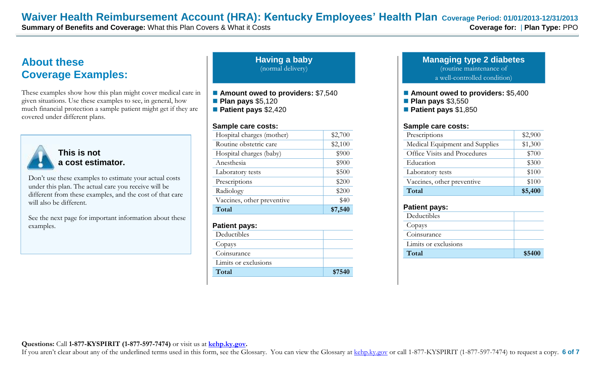# **About these Coverage Examples:**

These examples show how this plan might cover medical care in given situations. Use these examples to see, in general, how much financial protection a sample patient might get if they are covered under different plans.



**This is not a cost estimator.** 

Don't use these examples to estimate your actual costs under this plan. The actual care you receive will be different from these examples, and the cost of that care will also be different.

See the next page for important information about these examples.

**Having a baby** (normal delivery)

■ Amount owed to providers: \$7,540

**Plan pays** \$5,120

**Patient pays** \$2,420

#### **Sample care costs:**

| Hospital charges (mother)  | \$2,700 |
|----------------------------|---------|
| Routine obstetric care     | \$2,100 |
| Hospital charges (baby)    | \$900   |
| Anesthesia                 | \$900   |
| Laboratory tests           | \$500   |
| Prescriptions              | \$200   |
| Radiology                  | \$200   |
| Vaccines, other preventive | \$40    |
| Total                      | \$7,540 |

#### **Patient pays:**

| Deductibles          |        |
|----------------------|--------|
| Copays               |        |
| Coinsurance          |        |
| Limits or exclusions |        |
| Total                | \$7540 |

#### **Managing type 2 diabetes** (routine maintenance of a well-controlled condition)

■ Amount owed to providers: \$5,400 **Plan pays** \$3,550 **Patient pays** \$1,850

#### **Sample care costs:**

| Prescriptions                  | \$2,900 |
|--------------------------------|---------|
| Medical Equipment and Supplies | \$1,300 |
| Office Visits and Procedures   | \$700   |
| Education                      | \$300   |
| Laboratory tests               | \$100   |
| Vaccines, other preventive     | \$100   |
| Total                          | \$5,400 |

#### **Patient pays:**

| Deductibles          |        |
|----------------------|--------|
| Copays               |        |
| Coinsurance          |        |
| Limits or exclusions |        |
| Total                | \$5400 |

#### **Questions:** Call **1-877-KYSPIRIT (1-877-597-7474)** or visit us at **kehp.ky.gov.**

If you aren't clear about any of the underlined terms used in this form, see the Glossary. You can view the Glossary at kehp.ky.gov or call 1-877-KYSPIRIT (1-877-597-7474) to request a copy. 6 of 7